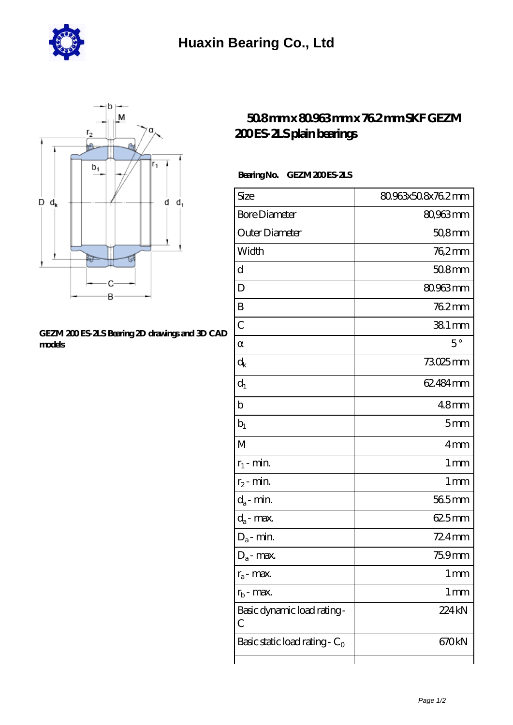



## [GEZM 200 ES-2LS Bearing 2D drawings and 3D CAD](https://hurtwoodmedia.com/pic-4856.html) **[models](https://hurtwoodmedia.com/pic-4856.html)**

## **[50.8 mm x 80.963 mm x 76.2 mm SKF GEZM](https://hurtwoodmedia.com/ar-4856-skf-gezm-200-es-2ls-plain-bearings.html) [200 ES-2LS plain bearings](https://hurtwoodmedia.com/ar-4856-skf-gezm-200-es-2ls-plain-bearings.html)**

## Bearing No. GEZM 200ES 2LS

| Size                             | 80.963x508x76.2mm |
|----------------------------------|-------------------|
| <b>Bore Diameter</b>             | 80,963 mm         |
| Outer Diameter                   | $508$ mm          |
| Width                            | 762mm             |
| d                                | 508mm             |
| D                                | 80.963mm          |
| B                                | 762mm             |
| $\overline{C}$                   | $381$ mm          |
|                                  | $5^{\circ}$       |
| $\rm d_k$                        | 73025mm           |
| $d_1$                            | 62.484 mm         |
| $\mathbf b$                      | 48 <sub>mm</sub>  |
| $b_1$                            | 5 <sub>mm</sub>   |
| M                                | 4mm               |
| $r_1$ - min.                     | 1 <sub>mm</sub>   |
| $r_2$ - min.                     | 1 <sub>mm</sub>   |
| $d_a$ - min.                     | 565mm             |
| $d_a$ - max.                     | 625mm             |
| $D_a$ - min.                     | 724mm             |
| $D_a$ - max.                     | 75.9mm            |
| $r_a$ - max.                     | $1 \,\mathrm{mm}$ |
| $r_{b}$ - max.                   | $1 \,\mathrm{mm}$ |
| Basic dynamic load rating-<br>C  | 224 <sub>kN</sub> |
| Basic static load rating - $C_0$ | 670kN             |
|                                  |                   |